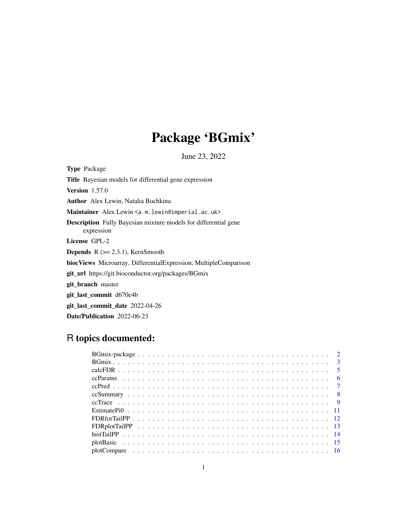## Package 'BGmix'

June 23, 2022

Type Package Title Bayesian models for differential gene expression Version 1.57.0 Author Alex Lewin, Natalia Bochkina Maintainer Alex Lewin <a.m.lewin@imperial.ac.uk> Description Fully Bayesian mixture models for differential gene expression License GPL-2 **Depends**  $R$  ( $>= 2.3.1$ ), KernSmooth biocViews Microarray, DifferentialExpression, MultipleComparison git\_url https://git.bioconductor.org/packages/BGmix git\_branch master git\_last\_commit d670e4b git\_last\_commit\_date 2022-04-26 Date/Publication 2022-06-23

## R topics documented: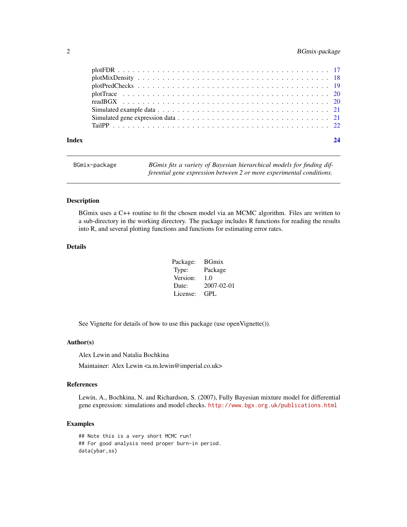## <span id="page-1-0"></span>2 BGmix-package

| Index | 24 |
|-------|----|

| BGmix-package | BGmix fits a variety of Bayesian hierarchical models for finding dif- |
|---------------|-----------------------------------------------------------------------|
|               | ferential gene expression between 2 or more experimental conditions.  |

#### Description

BGmix uses a C++ routine to fit the chosen model via an MCMC algorithm. Files are written to a sub-directory in the working directory. The package includes R functions for reading the results into R, and several plotting functions and functions for estimating error rates.

## Details

| Package: | <b>BGmix</b>     |
|----------|------------------|
| Type:    | Package          |
| Version: | 1.0              |
| Date:    | $2007 - 02 - 01$ |
| License: | GPL.             |

See Vignette for details of how to use this package (use openVignette()).

#### Author(s)

Alex Lewin and Natalia Bochkina

Maintainer: Alex Lewin <a.m.lewin@imperial.co.uk>

## References

Lewin, A., Bochkina, N. and Richardson, S. (2007), Fully Bayesian mixture model for differential gene expression: simulations and model checks. <http://www.bgx.org.uk/publications.html>

## Examples

## Note this is a very short MCMC run! ## For good analysis need proper burn-in period. data(ybar,ss)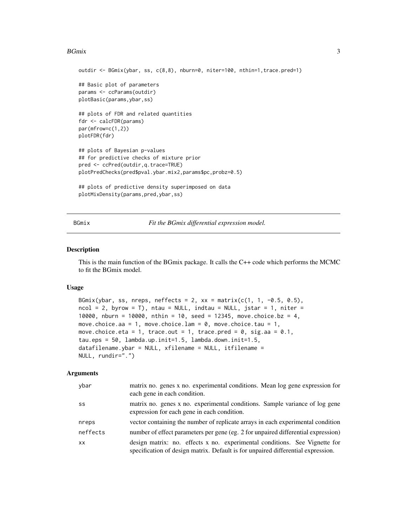#### <span id="page-2-0"></span> $B$ Gmix  $3$

```
outdir <- BGmix(ybar, ss, c(8,8), nburn=0, niter=100, nthin=1,trace.pred=1)
## Basic plot of parameters
params <- ccParams(outdir)
plotBasic(params,ybar,ss)
## plots of FDR and related quantities
fdr <- calcFDR(params)
par(mfrow=c(1,2))
plotFDR(fdr)
## plots of Bayesian p-values
## for predictive checks of mixture prior
pred <- ccPred(outdir,q.trace=TRUE)
plotPredChecks(pred$pval.ybar.mix2,params$pc,probz=0.5)
## plots of predictive density superimposed on data
plotMixDensity(params,pred,ybar,ss)
```
BGmix *Fit the BGmix differential expression model.*

#### Description

This is the main function of the BGmix package. It calls the C++ code which performs the MCMC to fit the BGmix model.

#### Usage

```
BGmix(ybar, ss, nreps, neffects = 2, xx = matrix(c(1, 1, -0.5, 0.5),
ncol = 2, byrow = T), ntau = NULL, indtau = NULL, jstar = 1, niter =
10000, nburn = 10000, nthin = 10, seed = 12345, move.choice.bz = 4,
move.choice.aa = 1, move.choice.lam = 0, move.choice.tau = 1,
move.choice.eta = 1, trace.out = 1, trace.pred = 0, sig.aa = 0.1,
tau.eps = 50, lambda.up.init=1.5, lambda.down.init=1.5,
datafilename.ybar = NULL, xfilename = NULL, itfilename =
NULL, rundir=".")
```
## Arguments

| ybar     | matrix no. genes x no. experimental conditions. Mean log gene expression for<br>each gene in each condition.                                                   |
|----------|----------------------------------------------------------------------------------------------------------------------------------------------------------------|
| SS       | matrix no. genes x no. experimental conditions. Sample variance of log gene<br>expression for each gene in each condition.                                     |
| nreps    | vector containing the number of replicate arrays in each experimental condition                                                                                |
| neffects | number of effect parameters per gene (eg. 2 for unpaired differential expression)                                                                              |
| XX       | design matrix: no. effects x no. experimental conditions. See Vignette for<br>specification of design matrix. Default is for unpaired differential expression. |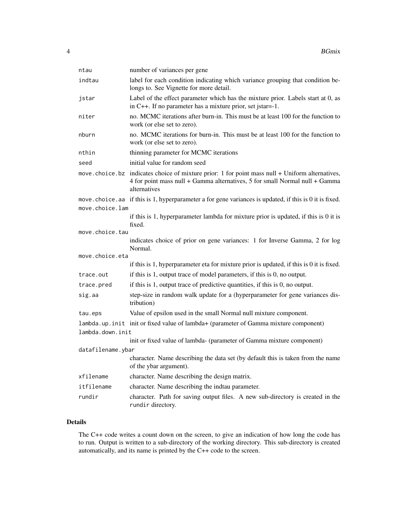| ntau              | number of variances per gene                                                                                                                                                    |
|-------------------|---------------------------------------------------------------------------------------------------------------------------------------------------------------------------------|
| indtau            | label for each condition indicating which variance grouping that condition be-<br>longs to. See Vignette for more detail.                                                       |
| jstar             | Label of the effect parameter which has the mixture prior. Labels start at 0, as<br>in C++. If no parameter has a mixture prior, set jstar=-1.                                  |
| niter             | no. MCMC iterations after burn-in. This must be at least 100 for the function to<br>work (or else set to zero).                                                                 |
| nburn             | no. MCMC iterations for burn-in. This must be at least 100 for the function to<br>work (or else set to zero).                                                                   |
| nthin             | thinning parameter for MCMC iterations                                                                                                                                          |
| seed              | initial value for random seed                                                                                                                                                   |
| move.choice.bz    | indicates choice of mixture prior: 1 for point mass null + Uniform alternatives,<br>4 for point mass null + Gamma alternatives, 5 for small Normal null + Gamma<br>alternatives |
|                   | move choice a if this is 1, hyperparameter a for gene variances is updated, if this is 0 it is fixed.                                                                           |
| move.choice.lam   |                                                                                                                                                                                 |
|                   | if this is $1$ , hyperparameter lambda for mixture prior is updated, if this is $0$ it is                                                                                       |
| move.choice.tau   | fixed.                                                                                                                                                                          |
|                   | indicates choice of prior on gene variances: 1 for Inverse Gamma, 2 for log<br>Normal.                                                                                          |
| move.choice.eta   |                                                                                                                                                                                 |
|                   | if this is $1$ , hyperparameter eta for mixture prior is updated, if this is $0$ it is fixed.                                                                                   |
| trace.out         | if this is 1, output trace of model parameters, if this is 0, no output.                                                                                                        |
| trace.pred        | if this is $1$ , output trace of predictive quantities, if this is $0$ , no output.                                                                                             |
| sig.aa            | step-size in random walk update for a (hyperparameter for gene variances dis-<br>tribution)                                                                                     |
| tau.eps           | Value of epsilon used in the small Normal null mixture component.                                                                                                               |
| lambda.down.init  | lambda.up.init init or fixed value of lambda+ (parameter of Gamma mixture component)                                                                                            |
|                   | init or fixed value of lambda- (parameter of Gamma mixture component)                                                                                                           |
| datafilename.ybar |                                                                                                                                                                                 |
|                   | character. Name describing the data set (by default this is taken from the name<br>of the ybar argument).                                                                       |
| xfilename         | character. Name describing the design matrix.                                                                                                                                   |
| itfilename        | character. Name describing the indtau parameter.                                                                                                                                |
| rundir            | character. Path for saving output files. A new sub-directory is created in the                                                                                                  |

## Details

The C++ code writes a count down on the screen, to give an indication of how long the code has to run. Output is written to a sub-directory of the working directory. This sub-directory is created automatically, and its name is printed by the C++ code to the screen.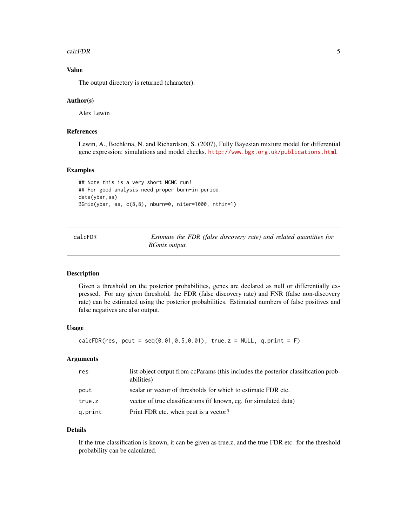#### <span id="page-4-0"></span>calcFDR 5

## Value

The output directory is returned (character).

#### Author(s)

Alex Lewin

#### References

Lewin, A., Bochkina, N. and Richardson, S. (2007), Fully Bayesian mixture model for differential gene expression: simulations and model checks. <http://www.bgx.org.uk/publications.html>

#### Examples

```
## Note this is a very short MCMC run!
## For good analysis need proper burn-in period.
data(ybar,ss)
BGmix(ybar, ss, c(8,8), nburn=0, niter=1000, nthin=1)
```
calcFDR *Estimate the FDR (false discovery rate) and related quantities for BGmix output.*

#### Description

Given a threshold on the posterior probabilities, genes are declared as null or differentially expressed. For any given threshold, the FDR (false discovery rate) and FNR (false non-discovery rate) can be estimated using the posterior probabilities. Estimated numbers of false positives and false negatives are also output.

#### Usage

```
calcFDR(res, pcut = seq(0.01, 0.5, 0.01), true.z = NULL, q.print = F)
```
## Arguments

| list object output from ccParams (this includes the posterior classification prob-<br>abilities) |
|--------------------------------------------------------------------------------------------------|
| scalar or vector of thresholds for which to estimate FDR etc.                                    |
| vector of true classifications (if known, eg. for simulated data)                                |
| Print FDR etc. when pout is a vector?                                                            |
|                                                                                                  |

#### Details

If the true classification is known, it can be given as true.z, and the true FDR etc. for the threshold probability can be calculated.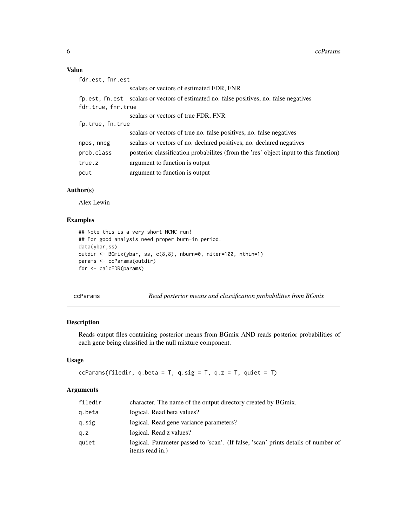## <span id="page-5-0"></span>Value

| fdr.est.fnr.est    |                                                                                         |
|--------------------|-----------------------------------------------------------------------------------------|
|                    | scalars or vectors of estimated FDR, FNR                                                |
|                    | fp.est, fn.est scalars or vectors of estimated no. false positives, no. false negatives |
| fdr.true, fnr.true |                                                                                         |
|                    | scalars or vectors of true FDR, FNR                                                     |
| fp.true, fn.true   |                                                                                         |
|                    | scalars or vectors of true no. false positives, no. false negatives                     |
| npos, nneg         | scalars or vectors of no. declared positives, no. declared negatives                    |
| prob.class         | posterior classification probabilities (from the 'res' object input to this function)   |
| true.z             | argument to function is output                                                          |
| pcut               | argument to function is output                                                          |
|                    |                                                                                         |

## Author(s)

Alex Lewin

## Examples

```
## Note this is a very short MCMC run!
## For good analysis need proper burn-in period.
data(ybar,ss)
outdir <- BGmix(ybar, ss, c(8,8), nburn=0, niter=100, nthin=1)
params <- ccParams(outdir)
fdr <- calcFDR(params)
```
ccParams *Read posterior means and classification probabilities from BGmix*

## Description

Reads output files containing posterior means from BGmix AND reads posterior probabilities of each gene being classified in the null mixture component.

#### Usage

```
ccParams(filedir, q.beta = T, q.sig = T, q.z = T, quiet = T)
```
## Arguments

| filedir | character. The name of the output directory created by BGmix.                                         |
|---------|-------------------------------------------------------------------------------------------------------|
| g.beta  | logical. Read beta values?                                                                            |
| q.sig   | logical. Read gene variance parameters?                                                               |
| q. z    | logical. Read z values?                                                                               |
| quiet   | logical. Parameter passed to 'scan'. (If false, 'scan' prints details of number of<br>items read in.) |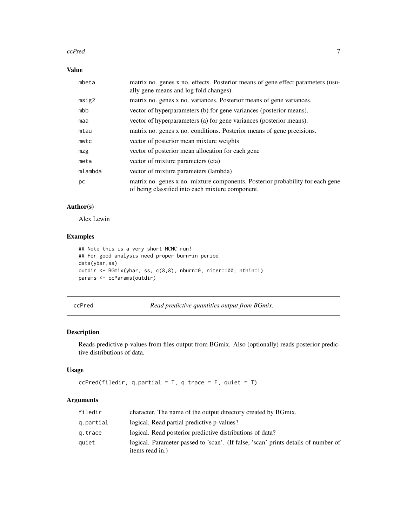#### <span id="page-6-0"></span>ccPred 7

## Value

| mbeta   | matrix no. genes x no. effects. Posterior means of gene effect parameters (usu-<br>ally gene means and log fold changes).          |
|---------|------------------------------------------------------------------------------------------------------------------------------------|
| msig2   | matrix no. genes x no. variances. Posterior means of gene variances.                                                               |
| mbb     | vector of hyperparameters (b) for gene variances (posterior means).                                                                |
| maa     | vector of hyperparameters (a) for gene variances (posterior means).                                                                |
| mtau    | matrix no. genes x no. conditions. Posterior means of gene precisions.                                                             |
| mwtc    | vector of posterior mean mixture weights                                                                                           |
| mzg     | vector of posterior mean allocation for each gene                                                                                  |
| meta    | vector of mixture parameters (eta)                                                                                                 |
| mlambda | vector of mixture parameters (lambda)                                                                                              |
| рc      | matrix no. genes x no. mixture components. Posterior probability for each gene<br>of being classified into each mixture component. |

### Author(s)

Alex Lewin

## Examples

```
## Note this is a very short MCMC run!
## For good analysis need proper burn-in period.
data(ybar,ss)
outdir <- BGmix(ybar, ss, c(8,8), nburn=0, niter=100, nthin=1)
params <- ccParams(outdir)
```
ccPred *Read predictive quantities output from BGmix.*

## Description

Reads predictive p-values from files output from BGmix. Also (optionally) reads posterior predictive distributions of data.

## Usage

```
ccPred(filedir, q.partial = T, q.trace = F, quite = T)
```
#### Arguments

| filedir   | character. The name of the output directory created by BGmix.                                         |
|-----------|-------------------------------------------------------------------------------------------------------|
| g.partial | logical. Read partial predictive p-values?                                                            |
| g.trace   | logical. Read posterior predictive distributions of data?                                             |
| quiet     | logical. Parameter passed to 'scan'. (If false, 'scan' prints details of number of<br>items read in.) |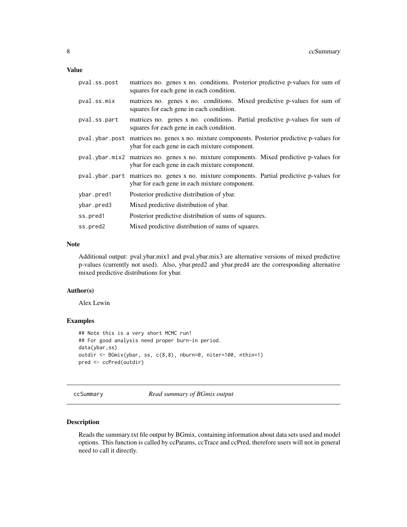#### <span id="page-7-0"></span>Value

| pval.ss.post | matrices no. genes x no. conditions. Posterior predictive p-values for sum of<br>squares for each gene in each condition.                      |
|--------------|------------------------------------------------------------------------------------------------------------------------------------------------|
| pval.ss.mix  | matrices no. genes x no. conditions. Mixed predictive p-values for sum of<br>squares for each gene in each condition.                          |
| pval.ss.part | matrices no. genes x no. conditions. Partial predictive p-values for sum of<br>squares for each gene in each condition.                        |
|              | pval.ybar.post matrices no. genes x no. mixture components. Posterior predictive p-values for<br>ybar for each gene in each mixture component. |
|              | pval.ybar.mix2 matrices no. genes x no. mixture components. Mixed predictive p-values for<br>ybar for each gene in each mixture component.     |
|              | pval.ybar.part matrices no. genes x no. mixture components. Partial predictive p-values for<br>ybar for each gene in each mixture component.   |
| ybar.pred1   | Posterior predictive distribution of ybar.                                                                                                     |
| ybar.pred3   | Mixed predictive distribution of ybar.                                                                                                         |
| ss.pred1     | Posterior predictive distribution of sums of squares.                                                                                          |
| ss.pred2     | Mixed predictive distribution of sums of squares.                                                                                              |

#### Note

Additional output: pval.ybar.mix1 and pval.ybar.mix3 are alternative versions of mixed predictive p-values (currently not used). Also, ybar.pred2 and ybar.pred4 are the corresponding alternative mixed predictive distributions for ybar.

## Author(s)

Alex Lewin

#### Examples

```
## Note this is a very short MCMC run!
## For good analysis need proper burn-in period.
data(ybar,ss)
outdir <- BGmix(ybar, ss, c(8,8), nburn=0, niter=100, nthin=1)
pred <- ccPred(outdir)
```
ccSummary *Read summary of BGmix output*

### Description

Reads the summary.txt file output by BGmix, containing information about data sets used and model options. This function is called by ccParams, ccTrace and ccPred, therefore users will not in general need to call it directly.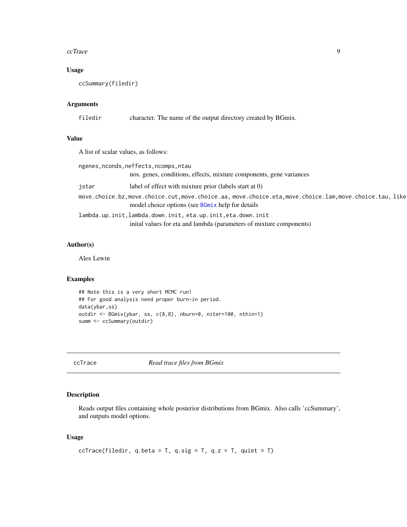#### <span id="page-8-0"></span>ccTrace 9

## Usage

ccSummary(filedir)

## Arguments

filedir character. The name of the output directory created by BGmix.

## Value

A list of scalar values, as follows:

| ngenes, nconds, neffects, ncomps, ntau |                                                                                                                                                          |  |
|----------------------------------------|----------------------------------------------------------------------------------------------------------------------------------------------------------|--|
|                                        | nos. genes, conditions, effects, mixture components, gene variances                                                                                      |  |
| istar                                  | label of effect with mixture prior (labels start at 0)                                                                                                   |  |
|                                        | move.choice.bz,move.choice.cut,move.choice.aa, move.choice.eta,move.choice.lam,move.choice.tau, like<br>model choice options (see BGmix help for details |  |
|                                        | lambda.up.init, lambda.down.init, eta.up.init, eta.down.init                                                                                             |  |
|                                        | inital values for eta and lambda (parameters of mixture components)                                                                                      |  |

## Author(s)

Alex Lewin

## Examples

```
## Note this is a very short MCMC run!
## For good analysis need proper burn-in period.
data(ybar,ss)
outdir <- BGmix(ybar, ss, c(8,8), nburn=0, niter=100, nthin=1)
summ <- ccSummary(outdir)
```
ccTrace *Read trace files from BGmix*

## Description

Reads output files containing whole posterior distributions from BGmix. Also calls 'ccSummary', and outputs model options.

#### Usage

```
ccTrace(filedir, q.beta = T, q.sig = T, q.z = T, quiet = T)
```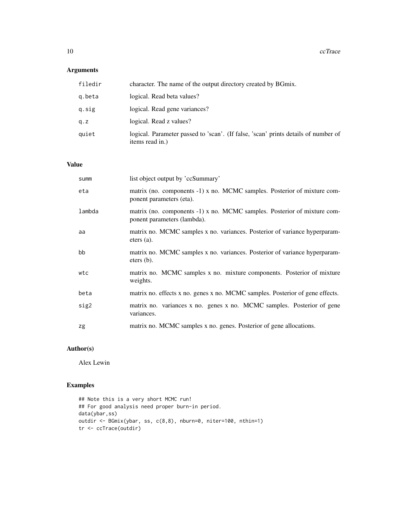## Arguments

| filedir | character. The name of the output directory created by BGmix.                                         |
|---------|-------------------------------------------------------------------------------------------------------|
| g.beta  | logical. Read beta values?                                                                            |
| q.sig   | logical. Read gene variances?                                                                         |
| q.z     | logical. Read z values?                                                                               |
| quiet   | logical. Parameter passed to 'scan'. (If false, 'scan' prints details of number of<br>items read in.) |

## Value

| summ   | list object output by 'ccSummary'                                                                       |
|--------|---------------------------------------------------------------------------------------------------------|
| eta    | matrix (no. components -1) x no. MCMC samples. Posterior of mixture com-<br>ponent parameters (eta).    |
| lambda | matrix (no. components -1) x no. MCMC samples. Posterior of mixture com-<br>ponent parameters (lambda). |
| aa     | matrix no. MCMC samples x no. variances. Posterior of variance hyperparam-<br>eters $(a)$ .             |
| bb     | matrix no. MCMC samples x no. variances. Posterior of variance hyperparam-<br>eters $(b)$ .             |
| wtc    | matrix no. MCMC samples x no. mixture components. Posterior of mixture<br>weights.                      |
| beta   | matrix no. effects x no. genes x no. MCMC samples. Posterior of gene effects.                           |
| sig2   | matrix no. variances x no. genes x no. MCMC samples. Posterior of gene<br>variances.                    |
| zg     | matrix no. MCMC samples x no. genes. Posterior of gene allocations.                                     |

## Author(s)

Alex Lewin

```
## Note this is a very short MCMC run!
## For good analysis need proper burn-in period.
data(ybar,ss)
outdir <- BGmix(ybar, ss, c(8,8), nburn=0, niter=100, nthin=1)
tr <- ccTrace(outdir)
```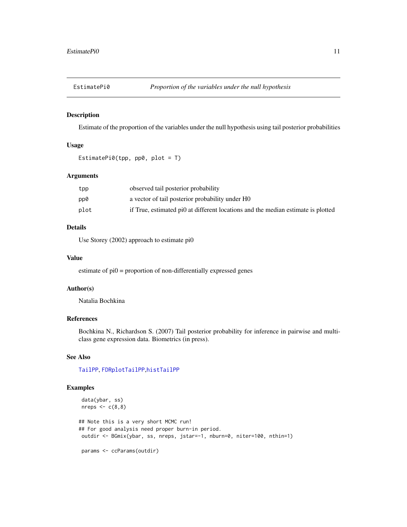<span id="page-10-1"></span><span id="page-10-0"></span>

Estimate of the proportion of the variables under the null hypothesis using tail posterior probabilities

## Usage

```
EstimatePi0(tpp, pp0, plot = T)
```
## Arguments

| tpp  | observed tail posterior probability                                              |
|------|----------------------------------------------------------------------------------|
| pp0  | a vector of tail posterior probability under H0                                  |
| plot | if True, estimated pi0 at different locations and the median estimate is plotted |

## Details

Use Storey (2002) approach to estimate pi0

#### Value

estimate of pi0 = proportion of non-differentially expressed genes

#### Author(s)

Natalia Bochkina

## References

Bochkina N., Richardson S. (2007) Tail posterior probability for inference in pairwise and multiclass gene expression data. Biometrics (in press).

## See Also

[TailPP](#page-21-1), [FDRplotTailPP](#page-12-1),[histTailPP](#page-13-1)

```
data(ybar, ss)
nreps \leq c(8,8)## Note this is a very short MCMC run!
## For good analysis need proper burn-in period.
outdir <- BGmix(ybar, ss, nreps, jstar=-1, nburn=0, niter=100, nthin=1)
params <- ccParams(outdir)
```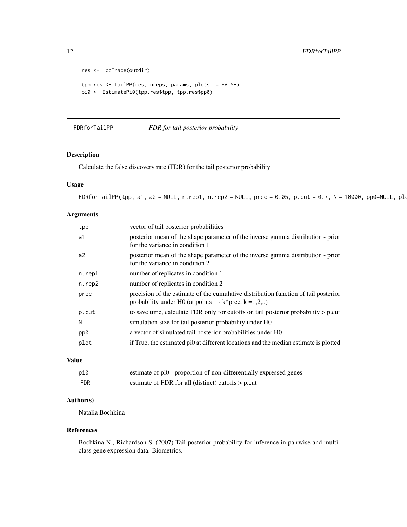```
res <- ccTrace(outdir)
tpp.res <- TailPP(res, nreps, params, plots = FALSE)
pi0 <- EstimatePi0(tpp.res$tpp, tpp.res$pp0)
```
FDRforTailPP *FDR for tail posterior probability*

### Description

Calculate the false discovery rate (FDR) for the tail posterior probability

#### Usage

 $FDRforTailPP(tpp, a1, a2 = NULL, n.rep1, n.rep2 = NULL, prec = 0.05, p-cut = 0.7, N = 10000, pp0 = NULL, pl0, and L = T$ 

#### Arguments

| tpp    | vector of tail posterior probabilities                                                                                                                |
|--------|-------------------------------------------------------------------------------------------------------------------------------------------------------|
| a1     | posterior mean of the shape parameter of the inverse gamma distribution - prior<br>for the variance in condition 1                                    |
| a2     | posterior mean of the shape parameter of the inverse gamma distribution - prior<br>for the variance in condition 2                                    |
| n.rep1 | number of replicates in condition 1                                                                                                                   |
| n.rep2 | number of replicates in condition 2                                                                                                                   |
| prec   | precision of the estimate of the cumulative distribution function of tail posterior<br>probability under H0 (at points $1 - k^*$ prec, $k = 1, 2, $ ) |
| p.cut  | to save time, calculate FDR only for cutoffs on tail posterior probability $> p$ cut                                                                  |
| N      | simulation size for tail posterior probability under H0                                                                                               |
| pp0    | a vector of simulated tail posterior probabilities under H0                                                                                           |
| plot   | if True, the estimated pi0 at different locations and the median estimate is plotted                                                                  |
|        |                                                                                                                                                       |

## Value

| pi0 | estimate of pi0 - proportion of non-differentially expressed genes |
|-----|--------------------------------------------------------------------|
| FDR | estimate of FDR for all (distinct) cutoffs $> p$ p.cut             |

## Author(s)

Natalia Bochkina

#### References

Bochkina N., Richardson S. (2007) Tail posterior probability for inference in pairwise and multiclass gene expression data. Biometrics.

<span id="page-11-0"></span>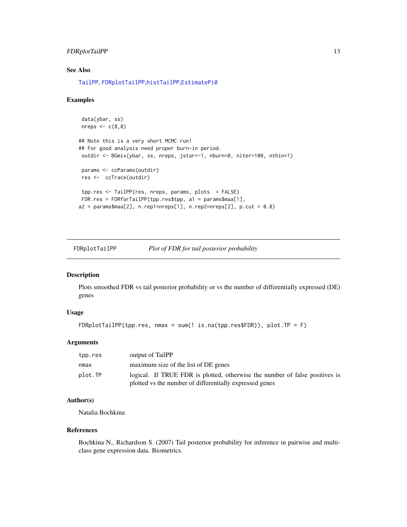#### <span id="page-12-0"></span>FDRplotTailPP 13

## See Also

[TailPP](#page-21-1), [FDRplotTailPP](#page-12-1),[histTailPP](#page-13-1),[EstimatePi0](#page-10-1)

#### Examples

```
data(ybar, ss)
nreps \leq c(8,8)## Note this is a very short MCMC run!
## For good analysis need proper burn-in period.
outdir <- BGmix(ybar, ss, nreps, jstar=-1, nburn=0, niter=100, nthin=1)
params <- ccParams(outdir)
res <- ccTrace(outdir)
tpp.res <- TailPP(res, nreps, params, plots = FALSE)
FDR.res = FDRforTailPP(tpp.res$tpp, a1 = params$maa[1],
a2 = params$maa[2], n.rep1=nreps[1], n.rep2=nreps[2], p.cut = 0.8)
```
<span id="page-12-1"></span>FDRplotTailPP *Plot of FDR for tail posterior probability*

## Description

Plots smoothed FDR vs tail posterior probability or vs the number of differentially expressed (DE) genes

#### Usage

```
FDRplotTailPP(tpp.res, nmax = sum(! is.na(tpp.res$FDR)), plot.TP = F)
```
#### Arguments

| tpp.res | output of TailPP                                                            |
|---------|-----------------------------------------------------------------------------|
| nmax    | maximum size of the list of DE genes                                        |
| plot.TP | logical. If TRUE FDR is plotted, otherwise the number of false positives is |
|         | plotted vs the number of differentially expressed genes                     |

#### Author(s)

Natalia Bochkina

#### References

Bochkina N., Richardson S. (2007) Tail posterior probability for inference in pairwise and multiclass gene expression data. Biometrics.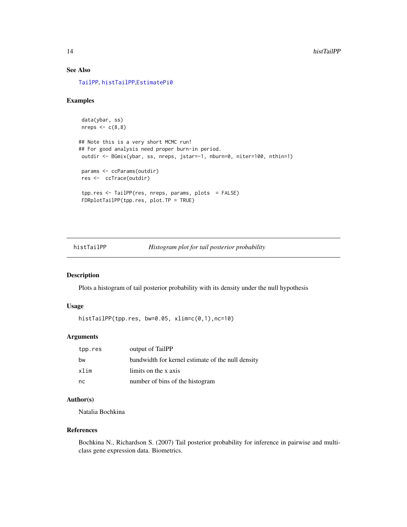## <span id="page-13-0"></span>See Also

[TailPP](#page-21-1), [histTailPP](#page-13-1),[EstimatePi0](#page-10-1)

#### Examples

```
data(ybar, ss)
nreps \leq c(8,8)## Note this is a very short MCMC run!
## For good analysis need proper burn-in period.
outdir <- BGmix(ybar, ss, nreps, jstar=-1, nburn=0, niter=100, nthin=1)
params <- ccParams(outdir)
res <- ccTrace(outdir)
tpp.res <- TailPP(res, nreps, params, plots = FALSE)
FDRplotTailPP(tpp.res, plot.TP = TRUE)
```
<span id="page-13-1"></span>histTailPP *Histogram plot for tail posterior probability*

#### Description

Plots a histogram of tail posterior probability with its density under the null hypothesis

#### Usage

histTailPP(tpp.res, bw=0.05, xlim=c(0,1),nc=10)

## Arguments

| tpp.res | output of TailPP                                  |
|---------|---------------------------------------------------|
| bw      | bandwidth for kernel estimate of the null density |
| xlim    | limits on the x axis                              |
| nc      | number of bins of the histogram                   |

## Author(s)

Natalia Bochkina

#### References

Bochkina N., Richardson S. (2007) Tail posterior probability for inference in pairwise and multiclass gene expression data. Biometrics.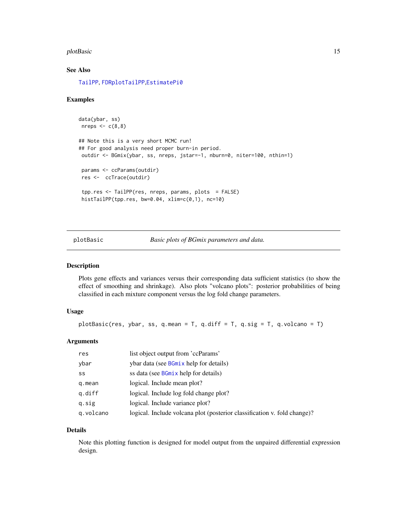#### <span id="page-14-0"></span>plotBasic 15

## See Also

[TailPP](#page-21-1), [FDRplotTailPP](#page-12-1),[EstimatePi0](#page-10-1)

#### Examples

```
data(ybar, ss)
nreps \leq c(8,8)## Note this is a very short MCMC run!
## For good analysis need proper burn-in period.
outdir <- BGmix(ybar, ss, nreps, jstar=-1, nburn=0, niter=100, nthin=1)
params <- ccParams(outdir)
res <- ccTrace(outdir)
tpp.res <- TailPP(res, nreps, params, plots = FALSE)
histTailPP(tpp.res, bw=0.04, xlim=c(0,1), nc=10)
```
plotBasic *Basic plots of BGmix parameters and data.*

#### Description

Plots gene effects and variances versus their corresponding data sufficient statistics (to show the effect of smoothing and shrinkage). Also plots "volcano plots": posterior probabilities of being classified in each mixture component versus the log fold change parameters.

## Usage

plotBasic(res, ybar, ss, q.mean =  $T$ , q.diff =  $T$ , q.sig =  $T$ , q.volcano =  $T$ )

## Arguments

| res       | list object output from 'ccParams'                                       |
|-----------|--------------------------------------------------------------------------|
| ybar      | ybar data (see <b>BGmix</b> help for details)                            |
| SS        | ss data (see BGmix help for details)                                     |
| q.mean    | logical. Include mean plot?                                              |
| g.diff    | logical. Include log fold change plot?                                   |
| q.sig     | logical. Include variance plot?                                          |
| q.volcano | logical. Include volcana plot (posterior classification v. fold change)? |

#### Details

Note this plotting function is designed for model output from the unpaired differential expression design.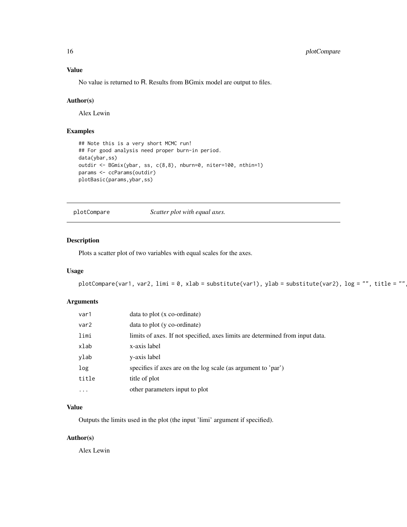## Value

No value is returned to R. Results from BGmix model are output to files.

## Author(s)

Alex Lewin

## Examples

```
## Note this is a very short MCMC run!
## For good analysis need proper burn-in period.
data(ybar,ss)
outdir <- BGmix(ybar, ss, c(8,8), nburn=0, niter=100, nthin=1)
params <- ccParams(outdir)
plotBasic(params,ybar,ss)
```
plotCompare *Scatter plot with equal axes.*

#### Description

Plots a scatter plot of two variables with equal scales for the axes.

## Usage

plotCompare(var1, var2, limi = 0, xlab = substitute(var1), ylab = substitute(var2), log = "", title = ""

## Arguments

| var1             | data to plot (x co-ordinate)                                                  |
|------------------|-------------------------------------------------------------------------------|
| var <sub>2</sub> | data to plot (y co-ordinate)                                                  |
| limi             | limits of axes. If not specified, axes limits are determined from input data. |
| xlab             | x-axis label                                                                  |
| ylab             | y-axis label                                                                  |
| log              | specifies if axes are on the log scale (as argument to 'par')                 |
| title            | title of plot                                                                 |
| $\cdots$         | other parameters input to plot                                                |

#### Value

Outputs the limits used in the plot (the input 'limi' argument if specified).

## Author(s)

Alex Lewin

<span id="page-15-0"></span>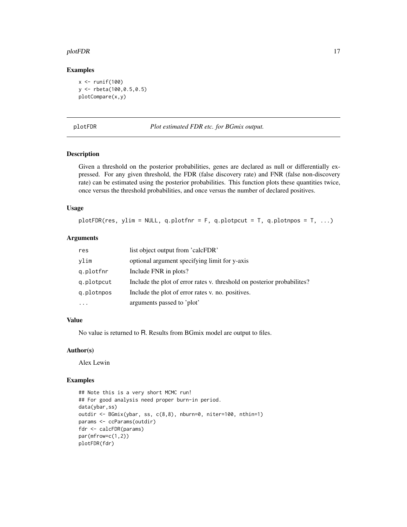#### <span id="page-16-0"></span>plotFDR 17

#### Examples

```
x \leftarrow runif(100)y <- rbeta(100,0.5,0.5)
plotCompare(x,y)
```
plotFDR *Plot estimated FDR etc. for BGmix output.*

#### Description

Given a threshold on the posterior probabilities, genes are declared as null or differentially expressed. For any given threshold, the FDR (false discovery rate) and FNR (false non-discovery rate) can be estimated using the posterior probabilities. This function plots these quantities twice, once versus the threshold probabilities, and once versus the number of declared positives.

## Usage

plotFDR(res, ylim = NULL, q.plotfnr = F, q.plotpcut = T, q.plotnpos = T, ...)

## Arguments

| res        | list object output from 'calcFDR'                                        |
|------------|--------------------------------------------------------------------------|
| vlim       | optional argument specifying limit for y-axis                            |
| q.plotfnr  | Include FNR in plots?                                                    |
| q.plotpcut | Include the plot of error rates v. threshold on posterior probabilities? |
| g.plotnpos | Include the plot of error rates v. no. positives.                        |
|            | arguments passed to 'plot'                                               |

## Value

No value is returned to R. Results from BGmix model are output to files.

## Author(s)

Alex Lewin

```
## Note this is a very short MCMC run!
## For good analysis need proper burn-in period.
data(ybar,ss)
outdir <- BGmix(ybar, ss, c(8,8), nburn=0, niter=100, nthin=1)
params <- ccParams(outdir)
fdr <- calcFDR(params)
par(mfrow=c(1,2))
plotFDR(fdr)
```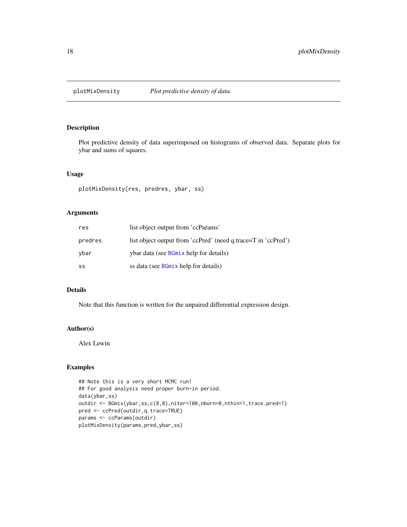<span id="page-17-0"></span>

Plot predictive density of data superimposed on histograms of observed data. Separate plots for ybar and sums of squares.

#### Usage

```
plotMixDensity(res, predres, ybar, ss)
```
## Arguments

| res     | list object output from 'ccParams'                            |
|---------|---------------------------------------------------------------|
| predres | list object output from 'ccPred' (need q.trace=T in 'ccPred') |
| vbar    | ybar data (see BGmix help for details)                        |
| SS      | ss data (see BGmix help for details)                          |

#### Details

Note that this function is written for the unpaired differential expression design.

#### Author(s)

Alex Lewin

```
## Note this is a very short MCMC run!
## For good analysis need proper burn-in period.
data(ybar,ss)
outdir <- BGmix(ybar,ss,c(8,8),niter=100,nburn=0,nthin=1,trace.pred=1)
pred <- ccPred(outdir,q.trace=TRUE)
params <- ccParams(outdir)
plotMixDensity(params,pred,ybar,ss)
```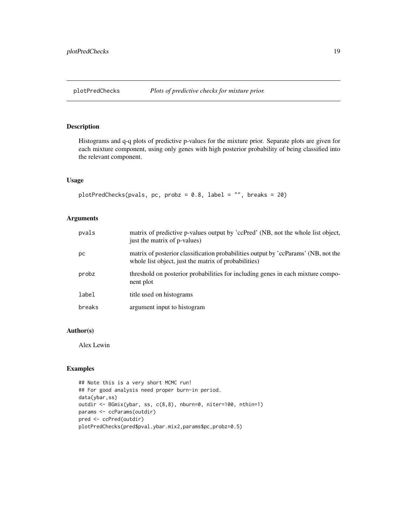<span id="page-18-0"></span>Histograms and q-q plots of predictive p-values for the mixture prior. Separate plots are given for each mixture component, using only genes with high posterior probability of being classified into the relevant component.

#### Usage

```
plotPredChecks(pvals, pc, probz = 0.8, label = "", breaks = 20)
```
## Arguments

| pvals  | matrix of predictive p-values output by 'ccPred' (NB, not the whole list object,<br>just the matrix of p-values)                           |
|--------|--------------------------------------------------------------------------------------------------------------------------------------------|
| рc     | matrix of posterior classification probabilities output by 'ccParams' (NB, not the<br>whole list object, just the matrix of probabilities) |
| probz  | threshold on posterior probabilities for including genes in each mixture compo-<br>nent plot                                               |
| label  | title used on histograms                                                                                                                   |
| breaks | argument input to histogram                                                                                                                |

## Author(s)

Alex Lewin

```
## Note this is a very short MCMC run!
## For good analysis need proper burn-in period.
data(ybar,ss)
outdir <- BGmix(ybar, ss, c(8,8), nburn=0, niter=100, nthin=1)
params <- ccParams(outdir)
pred <- ccPred(outdir)
plotPredChecks(pred$pval.ybar.mix2,params$pc,probz=0.5)
```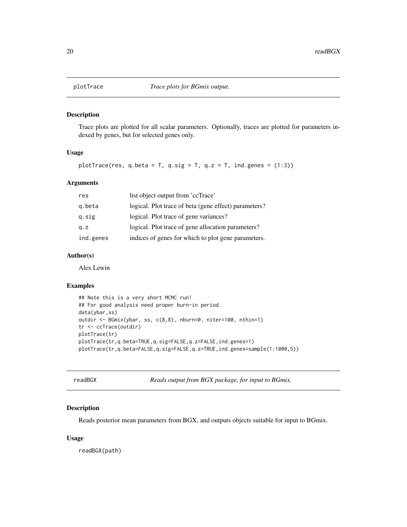Trace plots are plotted for all scalar parameters. Optionally, traces are plotted for parameters indexed by genes, but for selected genes only.

## Usage

plotTrace(res, q.beta = T, q.sig = T, q.z = T, ind.genes =  $(1:3)$ )

## Arguments

| res       | list object output from 'ccTrace'                     |
|-----------|-------------------------------------------------------|
| g.beta    | logical. Plot trace of beta (gene effect) parameters? |
| q.sig     | logical. Plot trace of gene variances?                |
| q. z      | logical. Plot trace of gene allocation parameters?    |
| ind.genes | indices of genes for which to plot gene parameters.   |

#### Author(s)

Alex Lewin

## Examples

```
## Note this is a very short MCMC run!
## For good analysis need proper burn-in period.
data(ybar,ss)
outdir <- BGmix(ybar, ss, c(8,8), nburn=0, niter=100, nthin=1)
tr <- ccTrace(outdir)
plotTrace(tr)
plotTrace(tr,q.beta=TRUE,q.sig=FALSE,q.z=FALSE,ind.genes=1)
plotTrace(tr,q.beta=FALSE,q.sig=FALSE,q.z=TRUE,ind.genes=sample(1:1000,5))
```

```
readBGX Reads output from BGX package, for input to BGmix.
```
## Description

Reads posterior mean parameters from BGX, and outputs objects suitable for input to BGmix.

#### Usage

readBGX(path)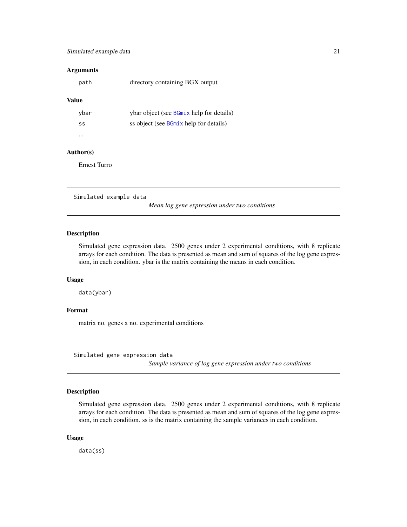## <span id="page-20-0"></span>Simulated example data 21

#### **Arguments**

| path | directory containing BGX output |  |
|------|---------------------------------|--|
|      |                                 |  |

#### Value

| ybar | ybar object (see BGmix help for details) |
|------|------------------------------------------|
| SS   | ss object (see BGmix help for details)   |
|      |                                          |

## Author(s)

Ernest Turro

Simulated example data

*Mean log gene expression under two conditions*

#### Description

Simulated gene expression data. 2500 genes under 2 experimental conditions, with 8 replicate arrays for each condition. The data is presented as mean and sum of squares of the log gene expression, in each condition. ybar is the matrix containing the means in each condition.

#### Usage

data(ybar)

#### Format

matrix no. genes x no. experimental conditions

Simulated gene expression data

*Sample variance of log gene expression under two conditions*

## Description

Simulated gene expression data. 2500 genes under 2 experimental conditions, with 8 replicate arrays for each condition. The data is presented as mean and sum of squares of the log gene expression, in each condition. ss is the matrix containing the sample variances in each condition.

#### Usage

data(ss)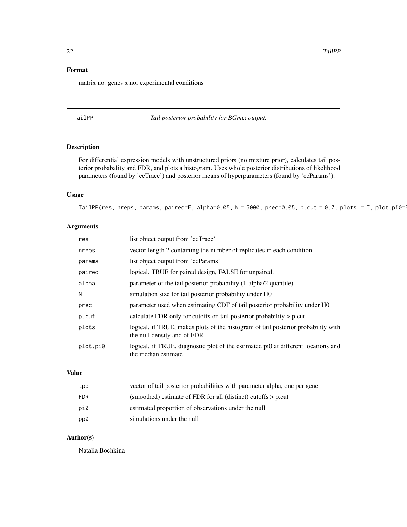## <span id="page-21-0"></span>Format

matrix no. genes x no. experimental conditions

<span id="page-21-1"></span>TailPP *Tail posterior probability for BGmix output.*

## Description

For differential expression models with unstructured priors (no mixture prior), calculates tail posterior probabality and FDR, and plots a histogram. Uses whole posterior distributions of likelihood parameters (found by 'ccTrace') and posterior means of hyperparameters (found by 'ccParams').

## Usage

TailPP(res, nreps, params, paired=F, alpha=0.05, N = 5000, prec=0.05, p.cut = 0.7, plots = T, plot.pi0=1

## Arguments

| res      | list object output from 'ccTrace'                                                                                |
|----------|------------------------------------------------------------------------------------------------------------------|
| nreps    | vector length 2 containing the number of replicates in each condition                                            |
| params   | list object output from 'ccParams'                                                                               |
| paired   | logical. TRUE for paired design, FALSE for unpaired.                                                             |
| alpha    | parameter of the tail posterior probability (1-alpha/2 quantile)                                                 |
| N        | simulation size for tail posterior probability under H0                                                          |
| prec     | parameter used when estimating CDF of tail posterior probability under H0                                        |
| p.cut    | calculate FDR only for cutoffs on tail posterior probability $> p$ cut                                           |
| plots    | logical. if TRUE, makes plots of the histogram of tail posterior probability with<br>the null density and of FDR |
| plot.pi0 | logical. if TRUE, diagnostic plot of the estimated pi0 at different locations and<br>the median estimate         |

## Value

| tpp        | vector of tail posterior probabilities with parameter alpha, one per gene |
|------------|---------------------------------------------------------------------------|
| <b>FDR</b> | (smoothed) estimate of FDR for all (distinct) cutoffs $> p$ p.cut         |
| pi0        | estimated proportion of observations under the null                       |
| pp0        | simulations under the null                                                |

## Author(s)

Natalia Bochkina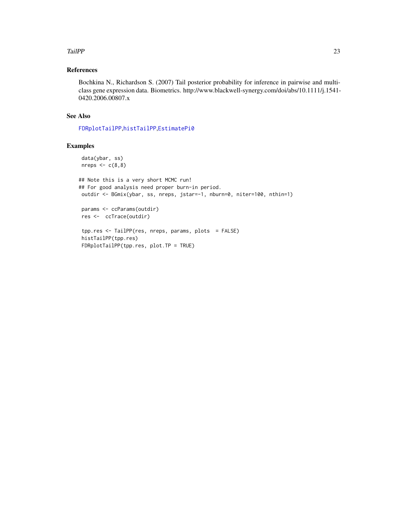#### <span id="page-22-0"></span>TailPP 23

## References

Bochkina N., Richardson S. (2007) Tail posterior probability for inference in pairwise and multiclass gene expression data. Biometrics. http://www.blackwell-synergy.com/doi/abs/10.1111/j.1541- 0420.2006.00807.x

#### See Also

[FDRplotTailPP](#page-12-1),[histTailPP](#page-13-1),[EstimatePi0](#page-10-1)

```
data(ybar, ss)
nreps <-c(8,8)
```

```
## Note this is a very short MCMC run!
## For good analysis need proper burn-in period.
outdir <- BGmix(ybar, ss, nreps, jstar=-1, nburn=0, niter=100, nthin=1)
params <- ccParams(outdir)
res <- ccTrace(outdir)
```

```
tpp.res <- TailPP(res, nreps, params, plots = FALSE)
histTailPP(tpp.res)
FDRplotTailPP(tpp.res, plot.TP = TRUE)
```